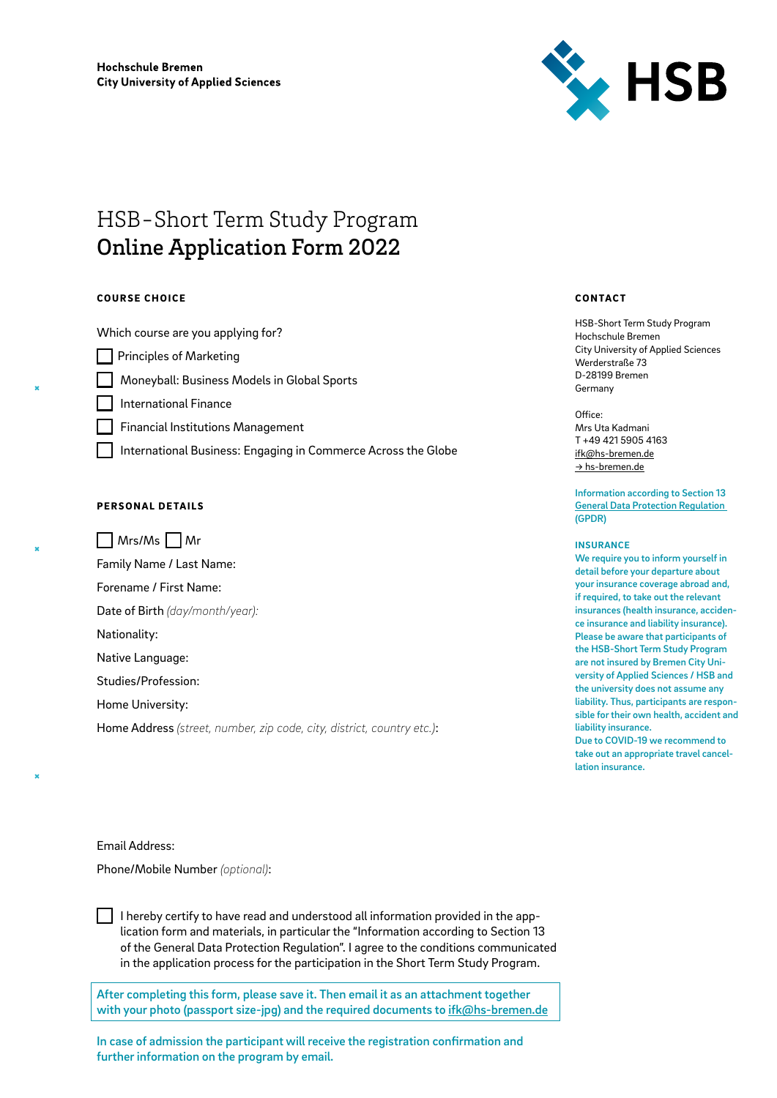

# HSB-Short Term Study Program Online Application Form 2022

# COURSE CHOICE

Which course are you applying for?

- **Principles of Marketing**
- Moneyball: Business Models in Global Sports
- International Finance
- Financial Institutions Management
- International Business: Engaging in Commerce Across the Globe

# PERSONAL DETAILS

 $\Box$  Mrs/Ms  $\Box$  Mr Family Name / Last Name: Forename / First Name: Date of Birth *(day/month/year):* Nationality: Native Language: Studies/Profession: Home University: Home Address *(street, number, zip code, city, district, country etc.)*:

#### **CONTACT**

HSB-Short Term Study Program Hochschule Bremen City University of Applied Sciences Werderstraße 73 D-28199 Bremen Germany

Office: Mrs Uta Kadmani T +49 421 5905 4163 ifk@hs-bremen.de [→ hs-bremen.de](www.hs-bremen.de/short-term-study-programme)

Information according to Section 13 General Data Protection Regulation (GPDR)

## **INSURANCE**

We require you to inform yourself in detail before your departure about your insurance coverage abroad and, if required, to take out the relevant insurances (health insurance, accidence insurance and liability insurance). Please be aware that participants of the HSB-Short Term Study Program are not insured by Bremen City University of Applied Sciences / HSB and the university does not assume any liability. Thus, participants are responsible for their own health, accident and liability insurance. Due to COVID-19 we recommend to take out an appropriate travel cancellation insurance.

Email Address:

Phone/Mobile Number *(optional)*:

I hereby certify to have read and understood all information provided in the app lication form and materials, in particular the "Information according to Section 13 of the General Data Protection Regulation". I agree to the conditions communicated in the application process for the participation in the Short Term Study Program.

After completing this form, please save it. Then email it as an attachment together with your photo (passport size-jpg) and the required documents to [ifk@hs-bremen.de](mailto:ifk@hs-bremen.de)

In case of admission the participant will receive the registration confirmation and further information on the program by email.